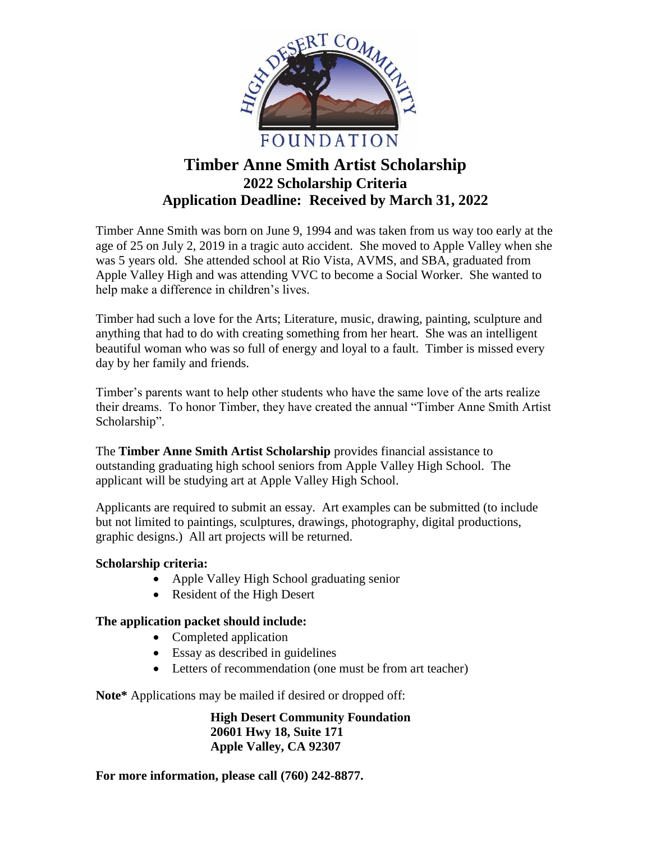

# **Timber Anne Smith Artist Scholarship 2022 Scholarship Criteria Application Deadline: Received by March 31, 2022**

Timber Anne Smith was born on June 9, 1994 and was taken from us way too early at the age of 25 on July 2, 2019 in a tragic auto accident. She moved to Apple Valley when she was 5 years old. She attended school at Rio Vista, AVMS, and SBA, graduated from Apple Valley High and was attending VVC to become a Social Worker. She wanted to help make a difference in children's lives.

Timber had such a love for the Arts; Literature, music, drawing, painting, sculpture and anything that had to do with creating something from her heart. She was an intelligent beautiful woman who was so full of energy and loyal to a fault. Timber is missed every day by her family and friends.

Timber's parents want to help other students who have the same love of the arts realize their dreams. To honor Timber, they have created the annual "Timber Anne Smith Artist Scholarship".

The **Timber Anne Smith Artist Scholarship** provides financial assistance to outstanding graduating high school seniors from Apple Valley High School. The applicant will be studying art at Apple Valley High School.

Applicants are required to submit an essay. Art examples can be submitted (to include but not limited to paintings, sculptures, drawings, photography, digital productions, graphic designs.) All art projects will be returned.

## **Scholarship criteria:**

- Apple Valley High School graduating senior
- Resident of the High Desert

## **The application packet should include:**

- Completed application
- Essay as described in guidelines
- Letters of recommendation (one must be from art teacher)

**Note\*** Applications may be mailed if desired or dropped off:

**High Desert Community Foundation 20601 Hwy 18, Suite 171 Apple Valley, CA 92307**

**For more information, please call (760) 242-8877.**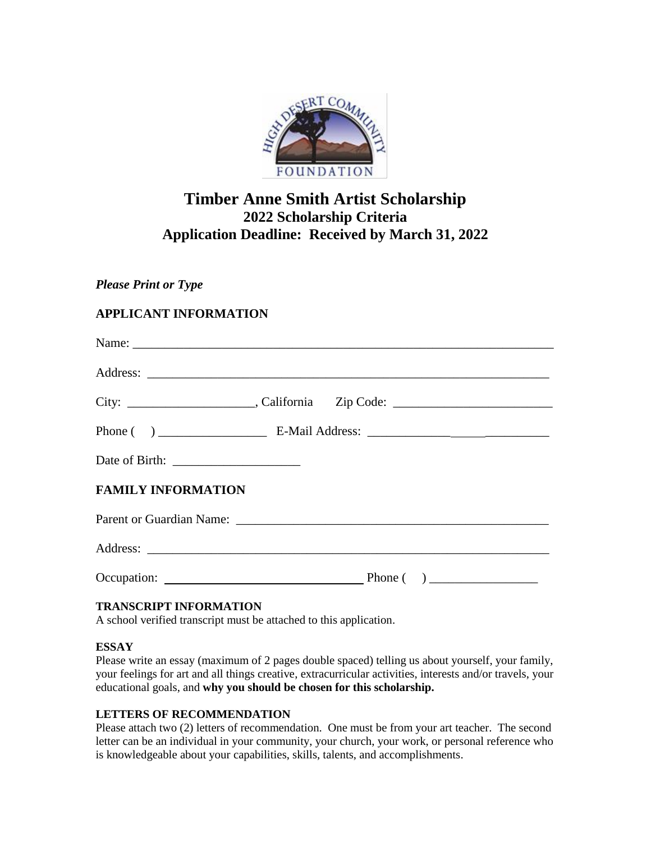

# **Timber Anne Smith Artist Scholarship 2022 Scholarship Criteria Application Deadline: Received by March 31, 2022**

## *Please Print or Type*

## **APPLICANT INFORMATION**

| <b>FAMILY INFORMATION</b> |  |  |
|---------------------------|--|--|
|                           |  |  |
|                           |  |  |
| Occupation: Phone ()      |  |  |
|                           |  |  |

#### **TRANSCRIPT INFORMATION**

A school verified transcript must be attached to this application.

#### **ESSAY**

Please write an essay (maximum of 2 pages double spaced) telling us about yourself, your family, your feelings for art and all things creative, extracurricular activities, interests and/or travels, your educational goals, and **why you should be chosen for this scholarship.**

### **LETTERS OF RECOMMENDATION**

Please attach two (2) letters of recommendation. One must be from your art teacher. The second letter can be an individual in your community, your church, your work, or personal reference who is knowledgeable about your capabilities, skills, talents, and accomplishments.